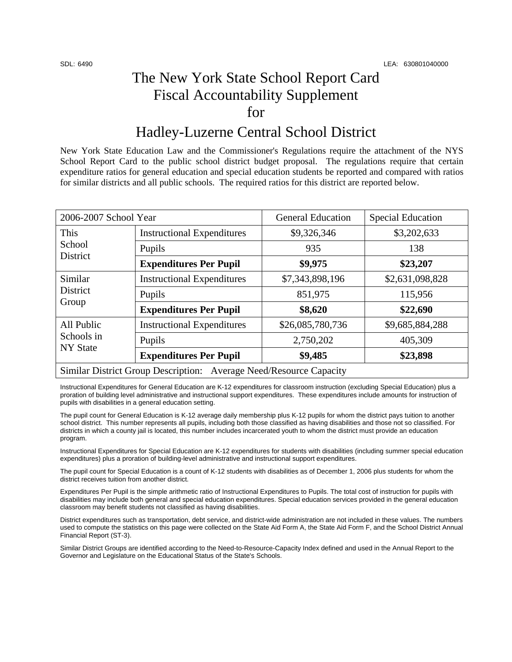## The New York State School Report Card Fiscal Accountability Supplement for

### Hadley-Luzerne Central School District

New York State Education Law and the Commissioner's Regulations require the attachment of the NYS School Report Card to the public school district budget proposal. The regulations require that certain expenditure ratios for general education and special education students be reported and compared with ratios for similar districts and all public schools. The required ratios for this district are reported below.

| 2006-2007 School Year                                              |                                   | <b>General Education</b> | <b>Special Education</b> |  |
|--------------------------------------------------------------------|-----------------------------------|--------------------------|--------------------------|--|
| This<br>School<br>District                                         | <b>Instructional Expenditures</b> | \$9,326,346              | \$3,202,633              |  |
|                                                                    | Pupils                            | 935                      | 138                      |  |
|                                                                    | <b>Expenditures Per Pupil</b>     | \$9,975                  | \$23,207                 |  |
| Similar<br>District<br>Group                                       | <b>Instructional Expenditures</b> | \$7,343,898,196          | \$2,631,098,828          |  |
|                                                                    | Pupils                            | 851,975                  | 115,956                  |  |
|                                                                    | <b>Expenditures Per Pupil</b>     | \$8,620                  | \$22,690                 |  |
| All Public<br>Schools in<br><b>NY State</b>                        | <b>Instructional Expenditures</b> | \$26,085,780,736         | \$9,685,884,288          |  |
|                                                                    | Pupils                            | 2,750,202                | 405,309                  |  |
|                                                                    | <b>Expenditures Per Pupil</b>     | \$9,485                  | \$23,898                 |  |
| Similar District Group Description: Average Need/Resource Capacity |                                   |                          |                          |  |

Instructional Expenditures for General Education are K-12 expenditures for classroom instruction (excluding Special Education) plus a proration of building level administrative and instructional support expenditures. These expenditures include amounts for instruction of pupils with disabilities in a general education setting.

The pupil count for General Education is K-12 average daily membership plus K-12 pupils for whom the district pays tuition to another school district. This number represents all pupils, including both those classified as having disabilities and those not so classified. For districts in which a county jail is located, this number includes incarcerated youth to whom the district must provide an education program.

Instructional Expenditures for Special Education are K-12 expenditures for students with disabilities (including summer special education expenditures) plus a proration of building-level administrative and instructional support expenditures.

The pupil count for Special Education is a count of K-12 students with disabilities as of December 1, 2006 plus students for whom the district receives tuition from another district.

Expenditures Per Pupil is the simple arithmetic ratio of Instructional Expenditures to Pupils. The total cost of instruction for pupils with disabilities may include both general and special education expenditures. Special education services provided in the general education classroom may benefit students not classified as having disabilities.

District expenditures such as transportation, debt service, and district-wide administration are not included in these values. The numbers used to compute the statistics on this page were collected on the State Aid Form A, the State Aid Form F, and the School District Annual Financial Report (ST-3).

Similar District Groups are identified according to the Need-to-Resource-Capacity Index defined and used in the Annual Report to the Governor and Legislature on the Educational Status of the State's Schools.